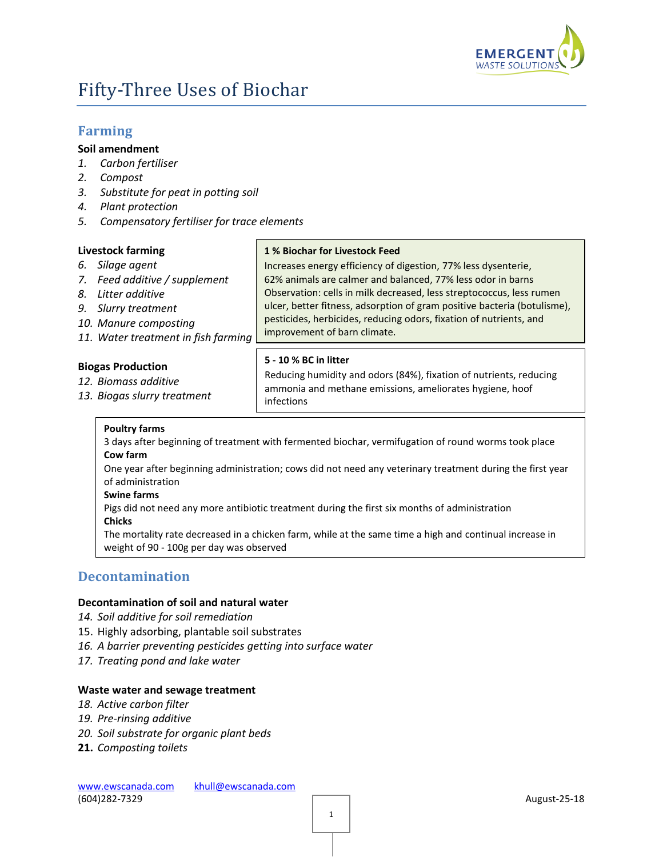

# Fifty-Three Uses of Biochar

# **Farming**

# **Soil amendment**

- *1. Carbon fertiliser*
- *2. Compost*
- *3. Substitute for peat in potting soil*
- *4. Plant protection*
- *5. Compensatory fertiliser for trace elements*

# **Livestock farming**

- *6. Silage agent*
- *7. Feed additive / supplement*
- *8. Litter additive*
- *9. Slurry treatment*
- *10. Manure composting*
- *11. Water treatment in fish farming*

# **Biogas Production**

- *12. Biomass additive*
- *13. Biogas slurry treatment*

# **1 % Biochar for Livestock Feed**

Increases energy efficiency of digestion, 77% less dysenterie, 62% animals are calmer and balanced, 77% less odor in barns Observation: cells in milk decreased, less streptococcus, less rumen ulcer, better fitness, adsorption of gram positive bacteria (botulisme), pesticides, herbicides, reducing odors, fixation of nutrients, and improvement of barn climate.

# **5 - 10 % BC in litter**

Reducing humidity and odors (84%), fixation of nutrients, reducing ammonia and methane emissions, ameliorates hygiene, hoof infections

#### **Poultry farms**

#### 3 days after beginning of treatment with fermented biochar, vermifugation of round worms took place **Cow farm**

One year after beginning administration; cows did not need any veterinary treatment during the first year of administration

# **Swine farms**

Pigs did not need any more antibiotic treatment during the first six months of administration

**Chicks**

The mortality rate decreased in a chicken farm, while at the same time a high and continual increase in weight of 90 - 100g per day was observed

# **Decontamination**

#### **Decontamination of soil and natural water**

- *14. Soil additive for soil remediation*
- 15. Highly adsorbing, plantable soil substrates
- *16. A barrier preventing pesticides getting into surface water*
- *17. Treating pond and lake water*

#### **Waste water and sewage treatment**

- *18. Active carbon filter*
- *19. Pre-rinsing additive*
- *20. Soil substrate for organic plant beds*
- **21.** *Composting toilets*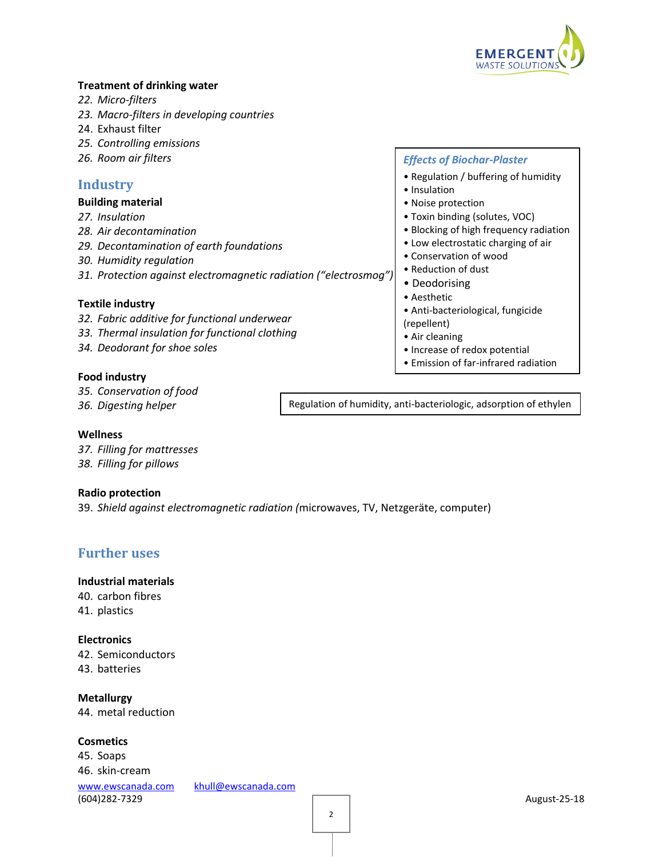

# **Treatment of drinking water**

- *22. Micro-filters*
- *23. Macro-filters in developing countries*
- 24. Exhaust filter
- *25. Controlling emissions*
- *26. Room air filters*

# **Industry**

#### **Building material**

- *27. Insulation*
- *28. Air decontamination*
- *29. Decontamination of earth foundations*
- *30. Humidity regulation*
- *31. Protection against electromagnetic radiation ("electrosmog")*

# **Textile industry**

- *32. Fabric additive for functional underwear*
- *33. Thermal insulation for functional clothing*
- *34. Deodorant for shoe soles*

# **Food industry**

- *35. Conservation of food*
- *36. Digesting helper*

Regulation of humidity, anti-bacteriologic, adsorption of ethylen

#### **Wellness**

*37. Filling for mattresses 38. Filling for pillows*

#### **Radio protection**

39. *Shield against electromagnetic radiation (*microwaves, TV, Netzgeräte, computer)

# **Further uses**

# **Industrial materials**

40. carbon fibres 41. plastics

#### **Electronics**

42. Semiconductors 43. batteries

**Metallurgy** 44. metal reduction

# **Cosmetics**

[www.ewscanada.com](http://www.ewscanada.com/) [khull@ewscanada.com](mailto:khull@ewscanada.com) (604)282-7329 August-25-18 45. Soaps 46. skin-cream

# *Effects of Biochar-Plaster*

- Regulation / buffering of humidity
- Insulation
- Noise protection
- Toxin binding (solutes, VOC)
- Blocking of high frequency radiation
- Low electrostatic charging of air
- Conservation of wood
- Reduction of dust
- Deodorising
- Aesthetic
- Anti-bacteriological, fungicide
- (repellent)
- Air cleaning
- Increase of redox potential
- Emission of far-infrared radiation